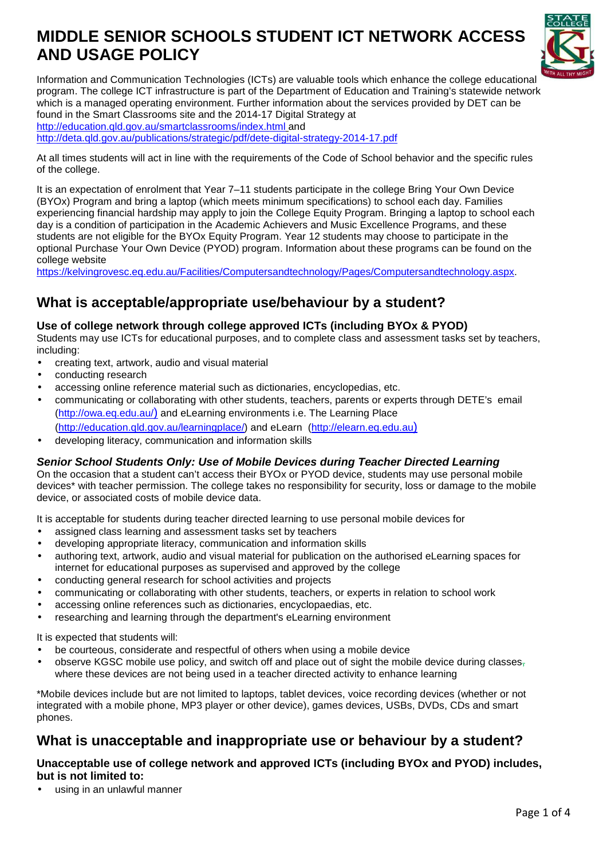# **MIDDLE SENIOR SCHOOLS STUDENT ICT NETWORK ACCESS AND USAGE POLICY**



Information and Communication Technologies (ICTs) are valuable tools which enhance the college educational program. The college ICT infrastructure is part of the Department of Education and Training's statewide network which is a managed operating environment. Further information about the services provided by DET can be found in the Smart Classrooms site and the 2014-17 Digital Strategy at http://education.qld.gov.au/smartclassrooms/index.html and http://deta.qld.gov.au/publications/strategic/pdf/dete-digital-strategy-2014-17.pdf

At all times students will act in line with the requirements of the Code of School behavior and the specific rules of the college.

It is an expectation of enrolment that Year 7–11 students participate in the college Bring Your Own Device (BYOx) Program and bring a laptop (which meets minimum specifications) to school each day. Families experiencing financial hardship may apply to join the College Equity Program. Bringing a laptop to school each day is a condition of participation in the Academic Achievers and Music Excellence Programs, and these students are not eligible for the BYOx Equity Program. Year 12 students may choose to participate in the optional Purchase Your Own Device (PYOD) program. Information about these programs can be found on the college website

https://kelvingrovesc.eq.edu.au/Facilities/Computersandtechnology/Pages/Computersandtechnology.aspx.

### **What is acceptable/appropriate use/behaviour by a student?**

#### **Use of college network through college approved ICTs (including BYOx & PYOD)**

Students may use ICTs for educational purposes, and to complete class and assessment tasks set by teachers, including:

- creating text, artwork, audio and visual material
- conducting research
- accessing online reference material such as dictionaries, encyclopedias, etc.
- communicating or collaborating with other students, teachers, parents or experts through DETE's email (http://owa.eq.edu.au/) and eLearning environments i.e. The Learning Place (http://education.qld.gov.au/learningplace/) and eLearn (http://elearn.eq.edu.au)
- developing literacy, communication and information skills

#### **Senior School Students Only: Use of Mobile Devices during Teacher Directed Learning**

On the occasion that a student can't access their BYOx or PYOD device, students may use personal mobile devices\* with teacher permission. The college takes no responsibility for security, loss or damage to the mobile device, or associated costs of mobile device data.

It is acceptable for students during teacher directed learning to use personal mobile devices for

- assigned class learning and assessment tasks set by teachers
- developing appropriate literacy, communication and information skills
- authoring text, artwork, audio and visual material for publication on the authorised eLearning spaces for internet for educational purposes as supervised and approved by the college
- conducting general research for school activities and projects
- communicating or collaborating with other students, teachers, or experts in relation to school work
- accessing online references such as dictionaries, encyclopaedias, etc.
- researching and learning through the department's eLearning environment

It is expected that students will:

- be courteous, considerate and respectful of others when using a mobile device
- observe KGSC mobile use policy, and switch off and place out of sight the mobile device during classes $_7$ where these devices are not being used in a teacher directed activity to enhance learning

\*Mobile devices include but are not limited to laptops, tablet devices, voice recording devices (whether or not integrated with a mobile phone, MP3 player or other device), games devices, USBs, DVDs, CDs and smart phones.

### **What is unacceptable and inappropriate use or behaviour by a student?**

#### **Unacceptable use of college network and approved ICTs (including BYOx and PYOD) includes, but is not limited to:**

using in an unlawful manner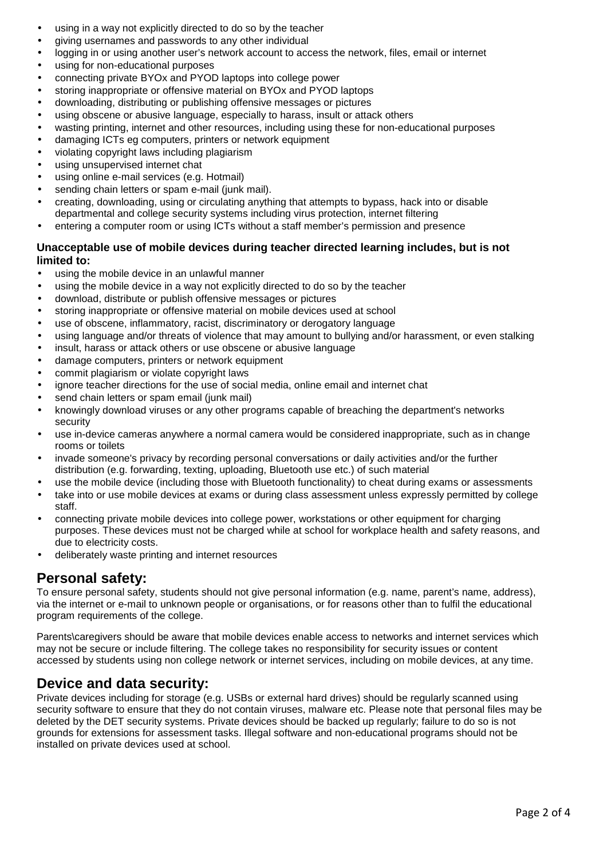- using in a way not explicitly directed to do so by the teacher
- giving usernames and passwords to any other individual
- logging in or using another user's network account to access the network, files, email or internet
- using for non-educational purposes
- connecting private BYOx and PYOD laptops into college power
- storing inappropriate or offensive material on BYOx and PYOD laptops
- downloading, distributing or publishing offensive messages or pictures
- using obscene or abusive language, especially to harass, insult or attack others
- wasting printing, internet and other resources, including using these for non-educational purposes
- damaging ICTs eg computers, printers or network equipment
- violating copyright laws including plagiarism
- using unsupervised internet chat
- using online e-mail services (e.g. Hotmail)
- sending chain letters or spam e-mail (junk mail).
- creating, downloading, using or circulating anything that attempts to bypass, hack into or disable departmental and college security systems including virus protection, internet filtering
- entering a computer room or using ICTs without a staff member's permission and presence

#### **Unacceptable use of mobile devices during teacher directed learning includes, but is not limited to:**

- using the mobile device in an unlawful manner
- using the mobile device in a way not explicitly directed to do so by the teacher
- download, distribute or publish offensive messages or pictures
- storing inappropriate or offensive material on mobile devices used at school
- use of obscene, inflammatory, racist, discriminatory or derogatory language
- using language and/or threats of violence that may amount to bullying and/or harassment, or even stalking
- insult, harass or attack others or use obscene or abusive language
- damage computers, printers or network equipment
- commit plagiarism or violate copyright laws
- ignore teacher directions for the use of social media, online email and internet chat
- send chain letters or spam email (junk mail)
- knowingly download viruses or any other programs capable of breaching the department's networks security
- use in-device cameras anywhere a normal camera would be considered inappropriate, such as in change rooms or toilets
- invade someone's privacy by recording personal conversations or daily activities and/or the further distribution (e.g. forwarding, texting, uploading, Bluetooth use etc.) of such material
- use the mobile device (including those with Bluetooth functionality) to cheat during exams or assessments
- take into or use mobile devices at exams or during class assessment unless expressly permitted by college staff.
- connecting private mobile devices into college power, workstations or other equipment for charging purposes. These devices must not be charged while at school for workplace health and safety reasons, and due to electricity costs.
- deliberately waste printing and internet resources

### **Personal safety:**

To ensure personal safety, students should not give personal information (e.g. name, parent's name, address), via the internet or e-mail to unknown people or organisations, or for reasons other than to fulfil the educational program requirements of the college.

Parents\caregivers should be aware that mobile devices enable access to networks and internet services which may not be secure or include filtering. The college takes no responsibility for security issues or content accessed by students using non college network or internet services, including on mobile devices, at any time.

### **Device and data security:**

Private devices including for storage (e.g. USBs or external hard drives) should be regularly scanned using security software to ensure that they do not contain viruses, malware etc. Please note that personal files may be deleted by the DET security systems. Private devices should be backed up regularly; failure to do so is not grounds for extensions for assessment tasks. Illegal software and non-educational programs should not be installed on private devices used at school.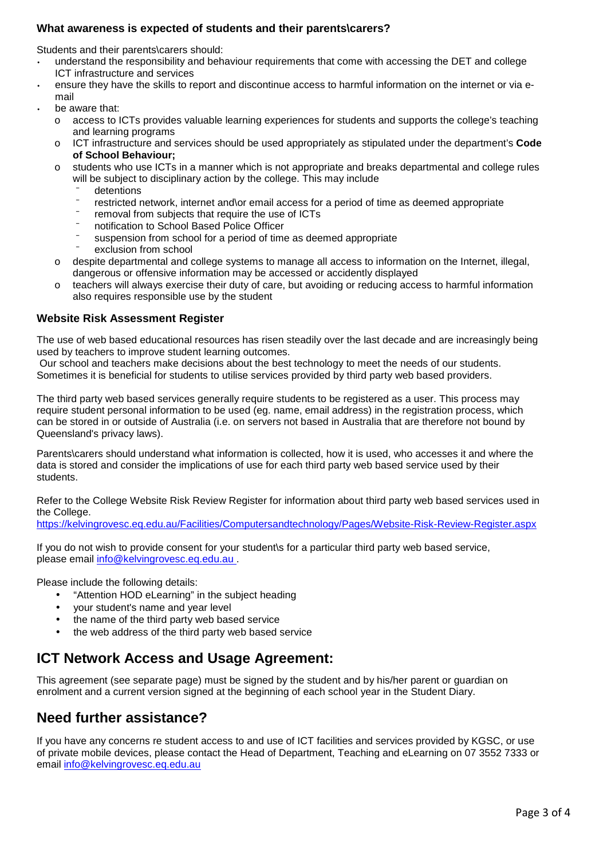#### **What awareness is expected of students and their parents\carers?**

Students and their parents\carers should:

- understand the responsibility and behaviour requirements that come with accessing the DET and college ICT infrastructure and services
- ensure they have the skills to report and discontinue access to harmful information on the internet or via email
- be aware that:
	- o access to ICTs provides valuable learning experiences for students and supports the college's teaching and learning programs
	- o ICT infrastructure and services should be used appropriately as stipulated under the department's **Code of School Behaviour;**
	- o students who use ICTs in a manner which is not appropriate and breaks departmental and college rules will be subject to disciplinary action by the college. This may include
		- detentions
		- restricted network, internet and or email access for a period of time as deemed appropriate
		- removal from subjects that require the use of ICTs
		- ⁻ notification to School Based Police Officer
		- suspension from school for a period of time as deemed appropriate
		- exclusion from school
	- o despite departmental and college systems to manage all access to information on the Internet, illegal, dangerous or offensive information may be accessed or accidently displayed
	- $\circ$  teachers will always exercise their duty of care, but avoiding or reducing access to harmful information also requires responsible use by the student

#### **Website Risk Assessment Register**

The use of web based educational resources has risen steadily over the last decade and are increasingly being used by teachers to improve student learning outcomes.

 Our school and teachers make decisions about the best technology to meet the needs of our students. Sometimes it is beneficial for students to utilise services provided by third party web based providers.

The third party web based services generally require students to be registered as a user. This process may require student personal information to be used (eg. name, email address) in the registration process, which can be stored in or outside of Australia (i.e. on servers not based in Australia that are therefore not bound by Queensland's privacy laws).

Parents\carers should understand what information is collected, how it is used, who accesses it and where the data is stored and consider the implications of use for each third party web based service used by their students.

Refer to the College Website Risk Review Register for information about third party web based services used in the College.

https://kelvingrovesc.eq.edu.au/Facilities/Computersandtechnology/Pages/Website-Risk-Review-Register.aspx

If you do not wish to provide consent for your student\s for a particular third party web based service, please email info@kelvingrovesc.eq.edu.au .

Please include the following details:

- "Attention HOD eLearning" in the subject heading
- your student's name and year level
- the name of the third party web based service
- the web address of the third party web based service

### **ICT Network Access and Usage Agreement:**

This agreement (see separate page) must be signed by the student and by his/her parent or guardian on enrolment and a current version signed at the beginning of each school year in the Student Diary.

### **Need further assistance?**

If you have any concerns re student access to and use of ICT facilities and services provided by KGSC, or use of private mobile devices, please contact the Head of Department, Teaching and eLearning on 07 3552 7333 or email info@kelvingrovesc.eq.edu.au